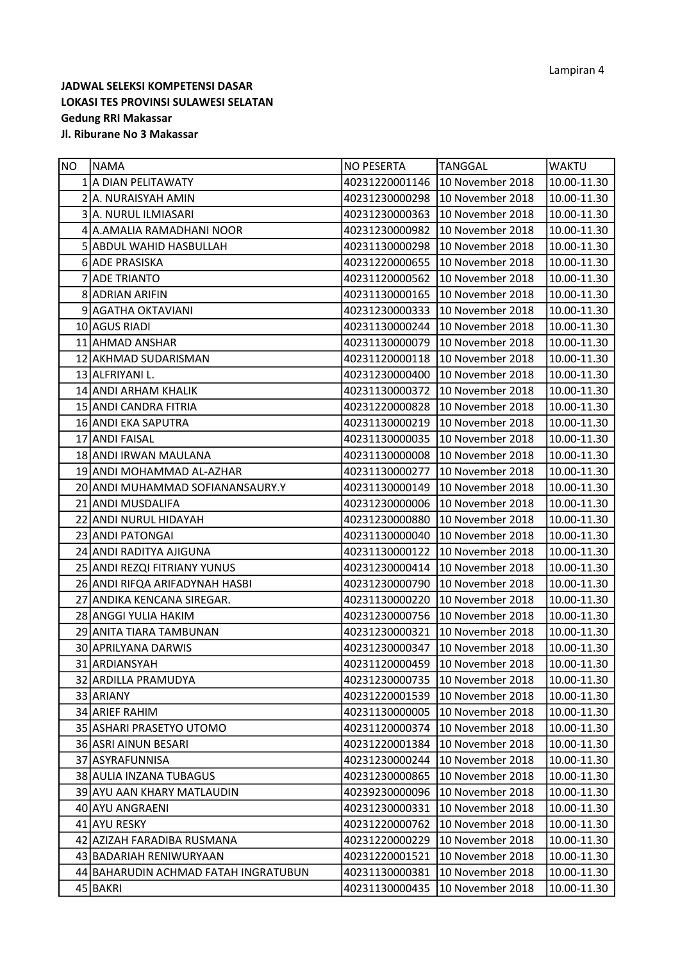| NO | <b>NAMA</b>                          | <b>NO PESERTA</b> | <b>TANGGAL</b>   | WAKTU       |
|----|--------------------------------------|-------------------|------------------|-------------|
|    | 1 A DIAN PELITAWATY                  | 40231220001146    | 10 November 2018 | 10.00-11.30 |
|    | 2 A. NURAISYAH AMIN                  | 40231230000298    | 10 November 2018 | 10.00-11.30 |
|    | 3 A. NURUL ILMIASARI                 | 40231230000363    | 10 November 2018 | 10.00-11.30 |
|    | 4 A.AMALIA RAMADHANI NOOR            | 40231230000982    | 10 November 2018 | 10.00-11.30 |
|    | 5 ABDUL WAHID HASBULLAH              | 40231130000298    | 10 November 2018 | 10.00-11.30 |
|    | 6 ADE PRASISKA                       | 40231220000655    | 10 November 2018 | 10.00-11.30 |
|    | 7 ADE TRIANTO                        | 40231120000562    | 10 November 2018 | 10.00-11.30 |
|    | 8 ADRIAN ARIFIN                      | 40231130000165    | 10 November 2018 | 10.00-11.30 |
|    | 9 AGATHA OKTAVIANI                   | 40231230000333    | 10 November 2018 | 10.00-11.30 |
|    | 10 AGUS RIADI                        | 40231130000244    | 10 November 2018 | 10.00-11.30 |
|    | 11 AHMAD ANSHAR                      | 40231130000079    | 10 November 2018 | 10.00-11.30 |
|    | 12 AKHMAD SUDARISMAN                 | 40231120000118    | 10 November 2018 | 10.00-11.30 |
|    | 13 ALFRIYANI L.                      | 40231230000400    | 10 November 2018 | 10.00-11.30 |
|    | 14 ANDI ARHAM KHALIK                 | 40231130000372    | 10 November 2018 | 10.00-11.30 |
|    | 15 ANDI CANDRA FITRIA                | 40231220000828    | 10 November 2018 | 10.00-11.30 |
|    | 16 ANDI EKA SAPUTRA                  | 40231130000219    | 10 November 2018 | 10.00-11.30 |
|    | 17 ANDI FAISAL                       | 40231130000035    | 10 November 2018 | 10.00-11.30 |
|    | 18 ANDI IRWAN MAULANA                | 40231130000008    | 10 November 2018 | 10.00-11.30 |
|    | 19 ANDI MOHAMMAD AL-AZHAR            | 40231130000277    | 10 November 2018 | 10.00-11.30 |
|    | 20 ANDI MUHAMMAD SOFIANANSAURY.Y     | 40231130000149    | 10 November 2018 | 10.00-11.30 |
|    | 21 ANDI MUSDALIFA                    | 40231230000006    | 10 November 2018 | 10.00-11.30 |
|    | 22 ANDI NURUL HIDAYAH                | 40231230000880    | 10 November 2018 | 10.00-11.30 |
|    | 23 ANDI PATONGAI                     | 40231130000040    | 10 November 2018 | 10.00-11.30 |
|    | 24 ANDI RADITYA AJIGUNA              | 40231130000122    | 10 November 2018 | 10.00-11.30 |
|    | 25 ANDI REZQI FITRIANY YUNUS         | 40231230000414    | 10 November 2018 | 10.00-11.30 |
|    | 26 ANDI RIFQA ARIFADYNAH HASBI       | 40231230000790    | 10 November 2018 | 10.00-11.30 |
|    | 27 ANDIKA KENCANA SIREGAR.           | 40231130000220    | 10 November 2018 | 10.00-11.30 |
|    | 28 ANGGI YULIA HAKIM                 | 40231230000756    | 10 November 2018 | 10.00-11.30 |
|    | 29 ANITA TIARA TAMBUNAN              | 40231230000321    | 10 November 2018 | 10.00-11.30 |
|    | 30 APRILYANA DARWIS                  | 40231230000347    | 10 November 2018 | 10.00-11.30 |
|    | 31 ARDIANSYAH                        | 40231120000459    | 10 November 2018 | 10.00-11.30 |
|    | 32 ARDILLA PRAMUDYA                  | 40231230000735    | 10 November 2018 | 10.00-11.30 |
|    | 33 ARIANY                            | 40231220001539    | 10 November 2018 | 10.00-11.30 |
|    | 34 ARIEF RAHIM                       | 40231130000005    | 10 November 2018 | 10.00-11.30 |
|    | 35 ASHARI PRASETYO UTOMO             | 40231120000374    | 10 November 2018 | 10.00-11.30 |
|    | 36 ASRI AINUN BESARI                 | 40231220001384    | 10 November 2018 | 10.00-11.30 |
|    | 37 ASYRAFUNNISA                      | 40231230000244    | 10 November 2018 | 10.00-11.30 |
|    | 38 AULIA INZANA TUBAGUS              | 40231230000865    | 10 November 2018 | 10.00-11.30 |
|    | 39 AYU AAN KHARY MATLAUDIN           | 40239230000096    | 10 November 2018 | 10.00-11.30 |
|    | 40 AYU ANGRAENI                      | 40231230000331    | 10 November 2018 | 10.00-11.30 |
|    | 41 AYU RESKY                         | 40231220000762    | 10 November 2018 | 10.00-11.30 |
|    | 42 AZIZAH FARADIBA RUSMANA           | 40231220000229    | 10 November 2018 | 10.00-11.30 |
|    | 43 BADARIAH RENIWURYAAN              | 40231220001521    | 10 November 2018 | 10.00-11.30 |
|    | 44 BAHARUDIN ACHMAD FATAH INGRATUBUN | 40231130000381    | 10 November 2018 | 10.00-11.30 |
|    | 45 BAKRI                             | 40231130000435    | 10 November 2018 | 10.00-11.30 |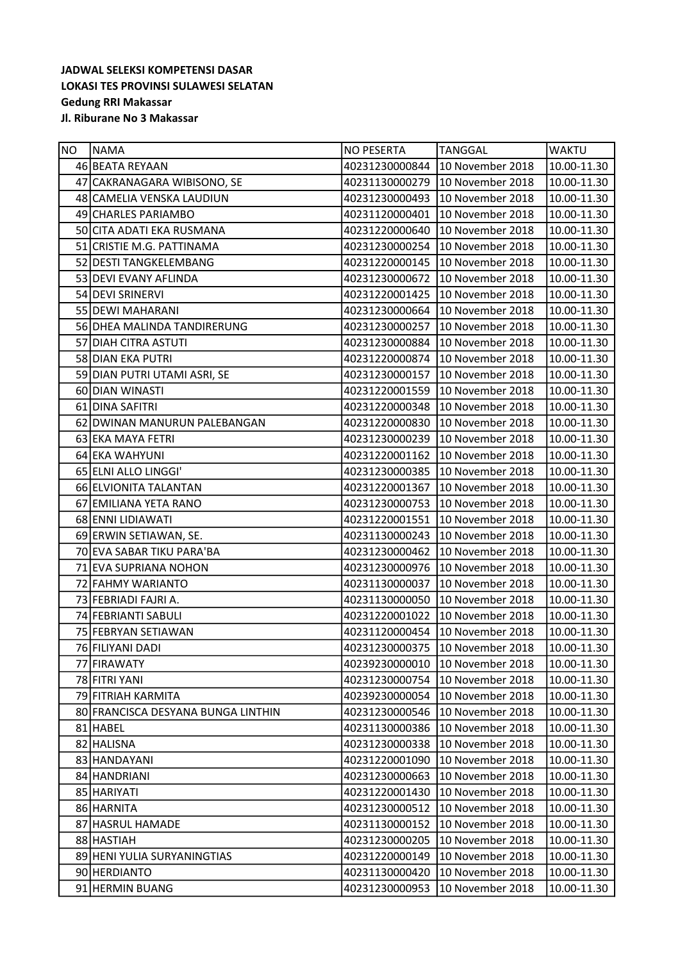| NO | INAMA                              | <b>NO PESERTA</b> | <b>TANGGAL</b>   | <b>WAKTU</b> |
|----|------------------------------------|-------------------|------------------|--------------|
|    | 46 BEATA REYAAN                    | 40231230000844    | 10 November 2018 | 10.00-11.30  |
|    | 47 CAKRANAGARA WIBISONO, SE        | 40231130000279    | 10 November 2018 | 10.00-11.30  |
|    | 48 CAMELIA VENSKA LAUDIUN          | 40231230000493    | 10 November 2018 | 10.00-11.30  |
|    | 49 CHARLES PARIAMBO                | 40231120000401    | 10 November 2018 | 10.00-11.30  |
|    | 50 CITA ADATI EKA RUSMANA          | 40231220000640    | 10 November 2018 | 10.00-11.30  |
|    | 51 CRISTIE M.G. PATTINAMA          | 40231230000254    | 10 November 2018 | 10.00-11.30  |
|    | 52 DESTI TANGKELEMBANG             | 40231220000145    | 10 November 2018 | 10.00-11.30  |
|    | 53 DEVI EVANY AFLINDA              | 40231230000672    | 10 November 2018 | 10.00-11.30  |
|    | 54 DEVI SRINERVI                   | 40231220001425    | 10 November 2018 | 10.00-11.30  |
|    | 55 DEWI MAHARANI                   | 40231230000664    | 10 November 2018 | 10.00-11.30  |
|    | 56 DHEA MALINDA TANDIRERUNG        | 40231230000257    | 10 November 2018 | 10.00-11.30  |
|    | 57 DIAH CITRA ASTUTI               | 40231230000884    | 10 November 2018 | 10.00-11.30  |
|    | 58 DIAN EKA PUTRI                  | 40231220000874    | 10 November 2018 | 10.00-11.30  |
|    | 59 DIAN PUTRI UTAMI ASRI, SE       | 40231230000157    | 10 November 2018 | 10.00-11.30  |
|    | 60 DIAN WINASTI                    | 40231220001559    | 10 November 2018 | 10.00-11.30  |
|    | 61 DINA SAFITRI                    | 40231220000348    | 10 November 2018 | 10.00-11.30  |
|    | 62 DWINAN MANURUN PALEBANGAN       | 40231220000830    | 10 November 2018 | 10.00-11.30  |
|    | 63 EKA MAYA FETRI                  | 40231230000239    | 10 November 2018 | 10.00-11.30  |
|    | 64 EKA WAHYUNI                     | 40231220001162    | 10 November 2018 | 10.00-11.30  |
|    | 65 ELNI ALLO LINGGI'               | 40231230000385    | 10 November 2018 | 10.00-11.30  |
|    | 66 ELVIONITA TALANTAN              | 40231220001367    | 10 November 2018 | 10.00-11.30  |
|    | 67 EMILIANA YETA RANO              | 40231230000753    | 10 November 2018 | 10.00-11.30  |
|    | 68 ENNI LIDIAWATI                  | 40231220001551    | 10 November 2018 | 10.00-11.30  |
|    | 69 ERWIN SETIAWAN, SE.             | 40231130000243    | 10 November 2018 | 10.00-11.30  |
|    | 70 EVA SABAR TIKU PARA'BA          | 40231230000462    | 10 November 2018 | 10.00-11.30  |
|    | 71 EVA SUPRIANA NOHON              | 40231230000976    | 10 November 2018 | 10.00-11.30  |
|    | 72 FAHMY WARIANTO                  | 40231130000037    | 10 November 2018 | 10.00-11.30  |
|    | 73 FEBRIADI FAJRI A.               | 40231130000050    | 10 November 2018 | 10.00-11.30  |
|    | 74 FEBRIANTI SABULI                | 40231220001022    | 10 November 2018 | 10.00-11.30  |
|    | 75 FEBRYAN SETIAWAN                | 40231120000454    | 10 November 2018 | 10.00-11.30  |
|    | 76 FILIYANI DADI                   | 40231230000375    | 10 November 2018 | 10.00-11.30  |
|    | 77 FIRAWATY                        | 40239230000010    | 10 November 2018 | 10.00-11.30  |
|    | 78 FITRI YANI                      | 40231230000754    | 10 November 2018 | 10.00-11.30  |
|    | 79 FITRIAH KARMITA                 | 40239230000054    | 10 November 2018 | 10.00-11.30  |
|    | 80 FRANCISCA DESYANA BUNGA LINTHIN | 40231230000546    | 10 November 2018 | 10.00-11.30  |
|    | 81 HABEL                           | 40231130000386    | 10 November 2018 | 10.00-11.30  |
|    | 82 HALISNA                         | 40231230000338    | 10 November 2018 | 10.00-11.30  |
|    | 83 HANDAYANI                       | 40231220001090    | 10 November 2018 | 10.00-11.30  |
|    | 84 HANDRIANI                       | 40231230000663    | 10 November 2018 | 10.00-11.30  |
|    | 85 HARIYATI                        | 40231220001430    | 10 November 2018 | 10.00-11.30  |
|    | 86 HARNITA                         | 40231230000512    | 10 November 2018 | 10.00-11.30  |
|    | 87 HASRUL HAMADE                   | 40231130000152    | 10 November 2018 | 10.00-11.30  |
|    | 88 HASTIAH                         | 40231230000205    | 10 November 2018 | 10.00-11.30  |
|    | 89 HENI YULIA SURYANINGTIAS        | 40231220000149    | 10 November 2018 | 10.00-11.30  |
|    | 90 HERDIANTO                       | 40231130000420    | 10 November 2018 | 10.00-11.30  |
|    | 91 HERMIN BUANG                    | 40231230000953    | 10 November 2018 | 10.00-11.30  |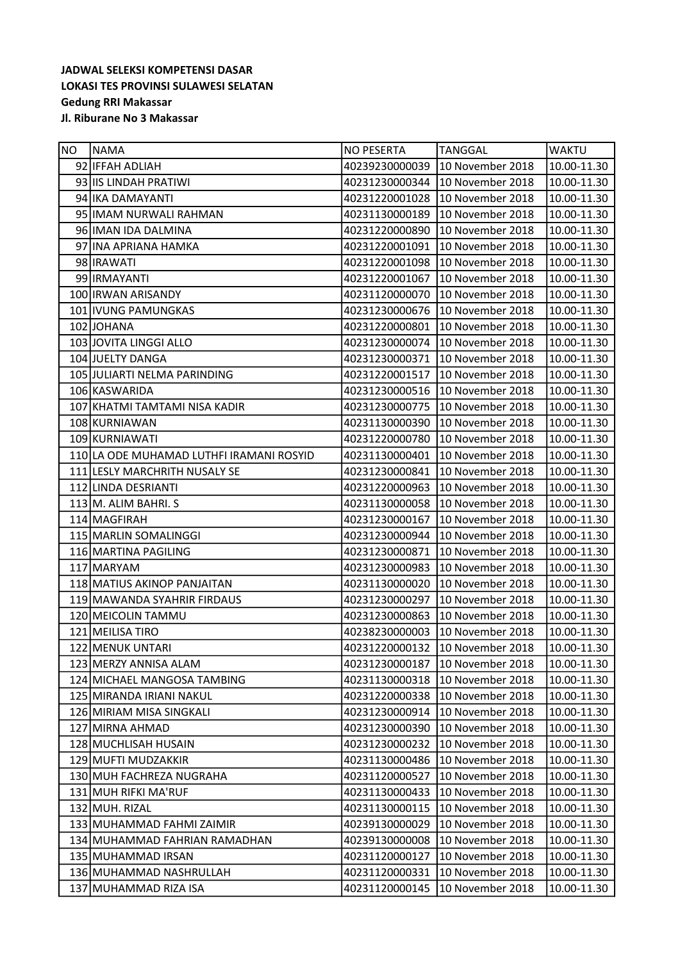| <b>NO</b> | <b>NAMA</b>                              | <b>NO PESERTA</b> | <b>TANGGAL</b>   | <b>WAKTU</b> |
|-----------|------------------------------------------|-------------------|------------------|--------------|
|           | 92 IFFAH ADLIAH                          | 40239230000039    | 10 November 2018 | 10.00-11.30  |
|           | 93 IIS LINDAH PRATIWI                    | 40231230000344    | 10 November 2018 | 10.00-11.30  |
|           | 94 IKA DAMAYANTI                         | 40231220001028    | 10 November 2018 | 10.00-11.30  |
|           | 95 IIMAM NURWALI RAHMAN                  | 40231130000189    | 10 November 2018 | 10.00-11.30  |
|           | 96 IMAN IDA DALMINA                      | 40231220000890    | 10 November 2018 | 10.00-11.30  |
|           | 97 INA APRIANA HAMKA                     | 40231220001091    | 10 November 2018 | 10.00-11.30  |
|           | 98 IRAWATI                               | 40231220001098    | 10 November 2018 | 10.00-11.30  |
|           | 99 IRMAYANTI                             | 40231220001067    | 10 November 2018 | 10.00-11.30  |
|           | 100 IRWAN ARISANDY                       | 40231120000070    | 10 November 2018 | 10.00-11.30  |
|           | 101 IVUNG PAMUNGKAS                      | 40231230000676    | 10 November 2018 | 10.00-11.30  |
|           | 102 JOHANA                               | 40231220000801    | 10 November 2018 | 10.00-11.30  |
|           | 103 JOVITA LINGGI ALLO                   | 40231230000074    | 10 November 2018 | 10.00-11.30  |
|           | 104 JUELTY DANGA                         | 40231230000371    | 10 November 2018 | 10.00-11.30  |
|           | 105 JULIARTI NELMA PARINDING             | 40231220001517    | 10 November 2018 | 10.00-11.30  |
|           | 106 KASWARIDA                            | 40231230000516    | 10 November 2018 | 10.00-11.30  |
|           | 107 KHATMI TAMTAMI NISA KADIR            | 40231230000775    | 10 November 2018 | 10.00-11.30  |
|           | 108 KURNIAWAN                            | 40231130000390    | 10 November 2018 | 10.00-11.30  |
|           | 109 KURNIAWATI                           | 40231220000780    | 10 November 2018 | 10.00-11.30  |
|           | 110 LA ODE MUHAMAD LUTHFI IRAMANI ROSYID | 40231130000401    | 10 November 2018 | 10.00-11.30  |
|           | 111 LESLY MARCHRITH NUSALY SE            | 40231230000841    | 10 November 2018 | 10.00-11.30  |
|           | 112 LINDA DESRIANTI                      | 40231220000963    | 10 November 2018 | 10.00-11.30  |
|           | 113 M. ALIM BAHRI. S                     | 40231130000058    | 10 November 2018 | 10.00-11.30  |
|           | 114 MAGFIRAH                             | 40231230000167    | 10 November 2018 | 10.00-11.30  |
|           | 115 MARLIN SOMALINGGI                    | 40231230000944    | 10 November 2018 | 10.00-11.30  |
|           | 116 MARTINA PAGILING                     | 40231230000871    | 10 November 2018 | 10.00-11.30  |
|           | 117 MARYAM                               | 40231230000983    | 10 November 2018 | 10.00-11.30  |
|           | 118 MATIUS AKINOP PANJAITAN              | 40231130000020    | 10 November 2018 | 10.00-11.30  |
|           | 119 MAWANDA SYAHRIR FIRDAUS              | 40231230000297    | 10 November 2018 | 10.00-11.30  |
|           | 120 MEICOLIN TAMMU                       | 40231230000863    | 10 November 2018 | 10.00-11.30  |
|           | 121 MEILISA TIRO                         | 40238230000003    | 10 November 2018 | 10.00-11.30  |
|           | 122 MENUK UNTARI                         | 40231220000132    | 10 November 2018 | 10.00-11.30  |
|           | 123 MERZY ANNISA ALAM                    | 40231230000187    | 10 November 2018 | 10.00-11.30  |
|           | 124 MICHAEL MANGOSA TAMBING              | 40231130000318    | 10 November 2018 | 10.00-11.30  |
|           | 125 MIRANDA IRIANI NAKUL                 | 40231220000338    | 10 November 2018 | 10.00-11.30  |
|           | 126 MIRIAM MISA SINGKALI                 | 40231230000914    | 10 November 2018 | 10.00-11.30  |
|           | 127 MIRNA AHMAD                          | 40231230000390    | 10 November 2018 | 10.00-11.30  |
|           | 128 MUCHLISAH HUSAIN                     | 40231230000232    | 10 November 2018 | 10.00-11.30  |
|           | 129 MUFTI MUDZAKKIR                      | 40231130000486    | 10 November 2018 | 10.00-11.30  |
|           | 130 MUH FACHREZA NUGRAHA                 | 40231120000527    | 10 November 2018 | 10.00-11.30  |
|           | 131 MUH RIFKI MA'RUF                     | 40231130000433    | 10 November 2018 | 10.00-11.30  |
|           | 132 MUH. RIZAL                           | 40231130000115    | 10 November 2018 | 10.00-11.30  |
|           | 133 MUHAMMAD FAHMI ZAIMIR                | 40239130000029    | 10 November 2018 | 10.00-11.30  |
|           | 134 MUHAMMAD FAHRIAN RAMADHAN            | 40239130000008    | 10 November 2018 | 10.00-11.30  |
|           | 135 MUHAMMAD IRSAN                       | 40231120000127    | 10 November 2018 | 10.00-11.30  |
|           | 136 MUHAMMAD NASHRULLAH                  | 40231120000331    | 10 November 2018 | 10.00-11.30  |
|           | 137 MUHAMMAD RIZA ISA                    | 40231120000145    | 10 November 2018 | 10.00-11.30  |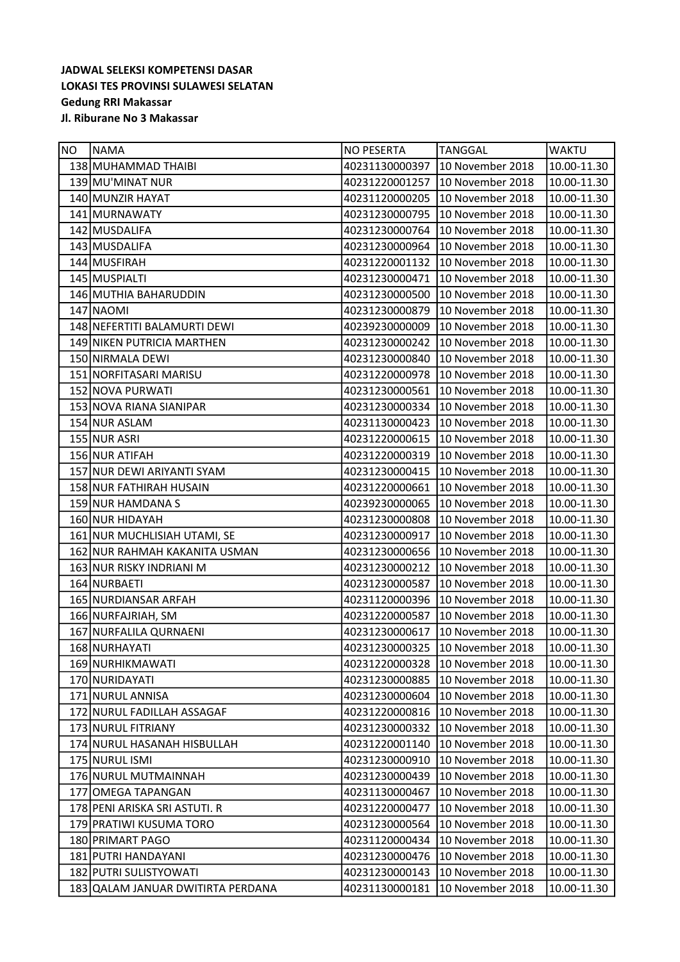| NO. | INAMA                             | <b>NO PESERTA</b> | <b>TANGGAL</b>   | <b>WAKTU</b> |
|-----|-----------------------------------|-------------------|------------------|--------------|
|     | 138 MUHAMMAD THAIBI               | 40231130000397    | 10 November 2018 | 10.00-11.30  |
|     | 139 MU'MINAT NUR                  | 40231220001257    | 10 November 2018 | 10.00-11.30  |
|     | 140 MUNZIR HAYAT                  | 40231120000205    | 10 November 2018 | 10.00-11.30  |
|     | 141 MURNAWATY                     | 40231230000795    | 10 November 2018 | 10.00-11.30  |
|     | 142 MUSDALIFA                     | 40231230000764    | 10 November 2018 | 10.00-11.30  |
|     | 143 MUSDALIFA                     | 40231230000964    | 10 November 2018 | 10.00-11.30  |
|     | 144 MUSFIRAH                      | 40231220001132    | 10 November 2018 | 10.00-11.30  |
|     | 145 MUSPIALTI                     | 40231230000471    | 10 November 2018 | 10.00-11.30  |
|     | 146 MUTHIA BAHARUDDIN             | 40231230000500    | 10 November 2018 | 10.00-11.30  |
|     | 147 NAOMI                         | 40231230000879    | 10 November 2018 | 10.00-11.30  |
|     | 148 NEFERTITI BALAMURTI DEWI      | 40239230000009    | 10 November 2018 | 10.00-11.30  |
|     | 149 NIKEN PUTRICIA MARTHEN        | 40231230000242    | 10 November 2018 | 10.00-11.30  |
|     | 150 NIRMALA DEWI                  | 40231230000840    | 10 November 2018 | 10.00-11.30  |
|     | 151 NORFITASARI MARISU            | 40231220000978    | 10 November 2018 | 10.00-11.30  |
|     | 152 NOVA PURWATI                  | 40231230000561    | 10 November 2018 | 10.00-11.30  |
|     | 153 NOVA RIANA SIANIPAR           | 40231230000334    | 10 November 2018 | 10.00-11.30  |
|     | 154 NUR ASLAM                     | 40231130000423    | 10 November 2018 | 10.00-11.30  |
|     | 155 NUR ASRI                      | 40231220000615    | 10 November 2018 | 10.00-11.30  |
|     | 156 NUR ATIFAH                    | 40231220000319    | 10 November 2018 | 10.00-11.30  |
|     | 157 NUR DEWI ARIYANTI SYAM        | 40231230000415    | 10 November 2018 | 10.00-11.30  |
|     | 158 NUR FATHIRAH HUSAIN           | 40231220000661    | 10 November 2018 | 10.00-11.30  |
|     | 159 NUR HAMDANA S                 | 40239230000065    | 10 November 2018 | 10.00-11.30  |
|     | 160 NUR HIDAYAH                   | 40231230000808    | 10 November 2018 | 10.00-11.30  |
|     | 161 NUR MUCHLISIAH UTAMI, SE      | 40231230000917    | 10 November 2018 | 10.00-11.30  |
|     | 162 NUR RAHMAH KAKANITA USMAN     | 40231230000656    | 10 November 2018 | 10.00-11.30  |
|     | 163 NUR RISKY INDRIANI M          | 40231230000212    | 10 November 2018 | 10.00-11.30  |
|     | 164 NURBAETI                      | 40231230000587    | 10 November 2018 | 10.00-11.30  |
|     | 165 NURDIANSAR ARFAH              | 40231120000396    | 10 November 2018 | 10.00-11.30  |
|     | 166 NURFAJRIAH, SM                | 40231220000587    | 10 November 2018 | 10.00-11.30  |
|     | 167 NURFALILA QURNAENI            | 40231230000617    | 10 November 2018 | 10.00-11.30  |
|     | 168 NURHAYATI                     | 40231230000325    | 10 November 2018 | 10.00-11.30  |
|     | 169 NURHIKMAWATI                  | 40231220000328    | 10 November 2018 | 10.00-11.30  |
|     | 170 NURIDAYATI                    | 40231230000885    | 10 November 2018 | 10.00-11.30  |
|     | 171 NURUL ANNISA                  | 40231230000604    | 10 November 2018 | 10.00-11.30  |
|     | 172 NURUL FADILLAH ASSAGAF        | 40231220000816    | 10 November 2018 | 10.00-11.30  |
|     | 173 NURUL FITRIANY                | 40231230000332    | 10 November 2018 | 10.00-11.30  |
|     | 174 NURUL HASANAH HISBULLAH       | 40231220001140    | 10 November 2018 | 10.00-11.30  |
|     | 175 NURUL ISMI                    | 40231230000910    | 10 November 2018 | 10.00-11.30  |
|     | 176 NURUL MUTMAINNAH              | 40231230000439    | 10 November 2018 | 10.00-11.30  |
|     | 177 OMEGA TAPANGAN                | 40231130000467    | 10 November 2018 | 10.00-11.30  |
|     | 178 PENI ARISKA SRI ASTUTI. R     | 40231220000477    | 10 November 2018 | 10.00-11.30  |
|     | 179 PRATIWI KUSUMA TORO           | 40231230000564    | 10 November 2018 | 10.00-11.30  |
|     | 180 PRIMART PAGO                  | 40231120000434    | 10 November 2018 | 10.00-11.30  |
|     | 181 PUTRI HANDAYANI               | 40231230000476    | 10 November 2018 | 10.00-11.30  |
|     | 182 PUTRI SULISTYOWATI            | 40231230000143    | 10 November 2018 | 10.00-11.30  |
|     | 183 QALAM JANUAR DWITIRTA PERDANA | 40231130000181    | 10 November 2018 | 10.00-11.30  |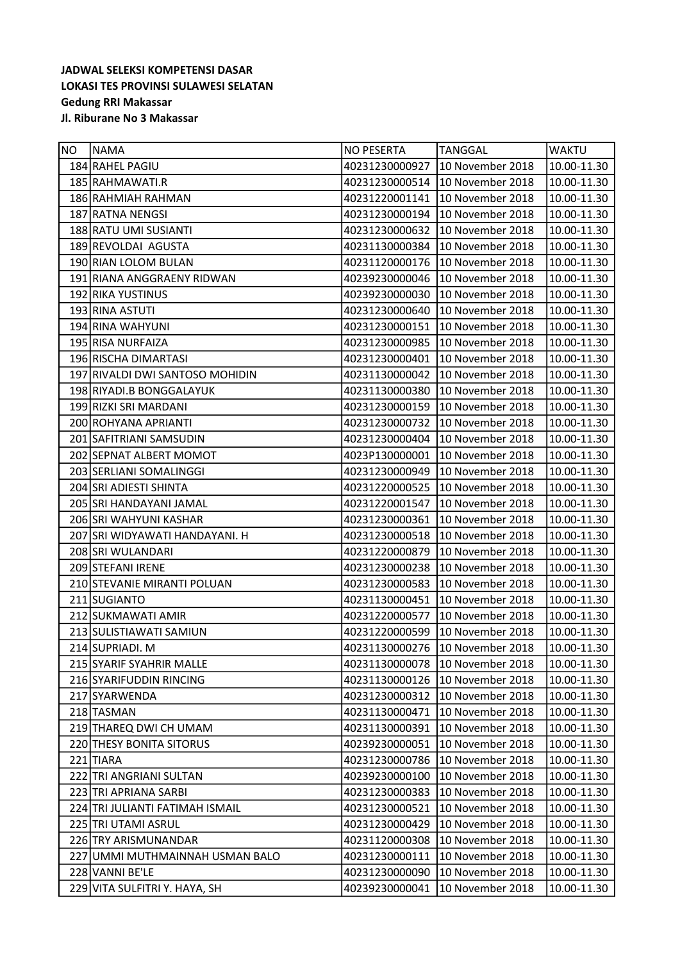| NO | INAMA                           | <b>NO PESERTA</b> | <b>TANGGAL</b>   | <b>WAKTU</b> |
|----|---------------------------------|-------------------|------------------|--------------|
|    | 184 RAHEL PAGIU                 | 40231230000927    | 10 November 2018 | 10.00-11.30  |
|    | 185 RAHMAWATI.R                 | 40231230000514    | 10 November 2018 | 10.00-11.30  |
|    | 186 RAHMIAH RAHMAN              | 40231220001141    | 10 November 2018 | 10.00-11.30  |
|    | 187 RATNA NENGSI                | 40231230000194    | 10 November 2018 | 10.00-11.30  |
|    | 188 RATU UMI SUSIANTI           | 40231230000632    | 10 November 2018 | 10.00-11.30  |
|    | 189 REVOLDAI AGUSTA             | 40231130000384    | 10 November 2018 | 10.00-11.30  |
|    | 190 RIAN LOLOM BULAN            | 40231120000176    | 10 November 2018 | 10.00-11.30  |
|    | 191 RIANA ANGGRAENY RIDWAN      | 40239230000046    | 10 November 2018 | 10.00-11.30  |
|    | 192 RIKA YUSTINUS               | 40239230000030    | 10 November 2018 | 10.00-11.30  |
|    | 193 RINA ASTUTI                 | 40231230000640    | 10 November 2018 | 10.00-11.30  |
|    | 194 RINA WAHYUNI                | 40231230000151    | 10 November 2018 | 10.00-11.30  |
|    | 195 RISA NURFAIZA               | 40231230000985    | 10 November 2018 | 10.00-11.30  |
|    | 196 RISCHA DIMARTASI            | 40231230000401    | 10 November 2018 | 10.00-11.30  |
|    | 197 RIVALDI DWI SANTOSO MOHIDIN | 40231130000042    | 10 November 2018 | 10.00-11.30  |
|    | 198 RIYADI.B BONGGALAYUK        | 40231130000380    | 10 November 2018 | 10.00-11.30  |
|    | 199 RIZKI SRI MARDANI           | 40231230000159    | 10 November 2018 | 10.00-11.30  |
|    | 200 ROHYANA APRIANTI            | 40231230000732    | 10 November 2018 | 10.00-11.30  |
|    | 201 SAFITRIANI SAMSUDIN         | 40231230000404    | 10 November 2018 | 10.00-11.30  |
|    | 202 SEPNAT ALBERT MOMOT         | 4023P130000001    | 10 November 2018 | 10.00-11.30  |
|    | 203 SERLIANI SOMALINGGI         | 40231230000949    | 10 November 2018 | 10.00-11.30  |
|    | 204 SRI ADIESTI SHINTA          | 40231220000525    | 10 November 2018 | 10.00-11.30  |
|    | 205 SRI HANDAYANI JAMAL         | 40231220001547    | 10 November 2018 | 10.00-11.30  |
|    | 206 SRI WAHYUNI KASHAR          | 40231230000361    | 10 November 2018 | 10.00-11.30  |
|    | 207 SRI WIDYAWATI HANDAYANI. H  | 40231230000518    | 10 November 2018 | 10.00-11.30  |
|    | 208 SRI WULANDARI               | 40231220000879    | 10 November 2018 | 10.00-11.30  |
|    | 209 STEFANI IRENE               | 40231230000238    | 10 November 2018 | 10.00-11.30  |
|    | 210 STEVANIE MIRANTI POLUAN     | 40231230000583    | 10 November 2018 | 10.00-11.30  |
|    | 211 SUGIANTO                    | 40231130000451    | 10 November 2018 | 10.00-11.30  |
|    | 212 SUKMAWATI AMIR              | 40231220000577    | 10 November 2018 | 10.00-11.30  |
|    | 213 SULISTIAWATI SAMIUN         | 40231220000599    | 10 November 2018 | 10.00-11.30  |
|    | 214 SUPRIADI. M                 | 40231130000276    | 10 November 2018 | 10.00-11.30  |
|    | 215 SYARIF SYAHRIR MALLE        | 40231130000078    | 10 November 2018 | 10.00-11.30  |
|    | 216 SYARIFUDDIN RINCING         | 40231130000126    | 10 November 2018 | 10.00-11.30  |
|    | 217 SYARWENDA                   | 40231230000312    | 10 November 2018 | 10.00-11.30  |
|    | 218 TASMAN                      | 40231130000471    | 10 November 2018 | 10.00-11.30  |
|    | 219 THAREQ DWI CH UMAM          | 40231130000391    | 10 November 2018 | 10.00-11.30  |
|    | 220 THESY BONITA SITORUS        | 40239230000051    | 10 November 2018 | 10.00-11.30  |
|    | 221 TIARA                       | 40231230000786    | 10 November 2018 | 10.00-11.30  |
|    | 222 TRI ANGRIANI SULTAN         | 40239230000100    | 10 November 2018 | 10.00-11.30  |
|    | 223 TRI APRIANA SARBI           | 40231230000383    | 10 November 2018 | 10.00-11.30  |
|    | 224 TRI JULIANTI FATIMAH ISMAIL | 40231230000521    | 10 November 2018 | 10.00-11.30  |
|    | 225 TRI UTAMI ASRUL             | 40231230000429    | 10 November 2018 | 10.00-11.30  |
|    | 226 TRY ARISMUNANDAR            | 40231120000308    | 10 November 2018 | 10.00-11.30  |
|    | 227 UMMI MUTHMAINNAH USMAN BALO | 40231230000111    | 10 November 2018 | 10.00-11.30  |
|    | 228 VANNI BE'LE                 | 40231230000090    | 10 November 2018 | 10.00-11.30  |
|    | 229 VITA SULFITRI Y. HAYA, SH   | 40239230000041    | 10 November 2018 | 10.00-11.30  |